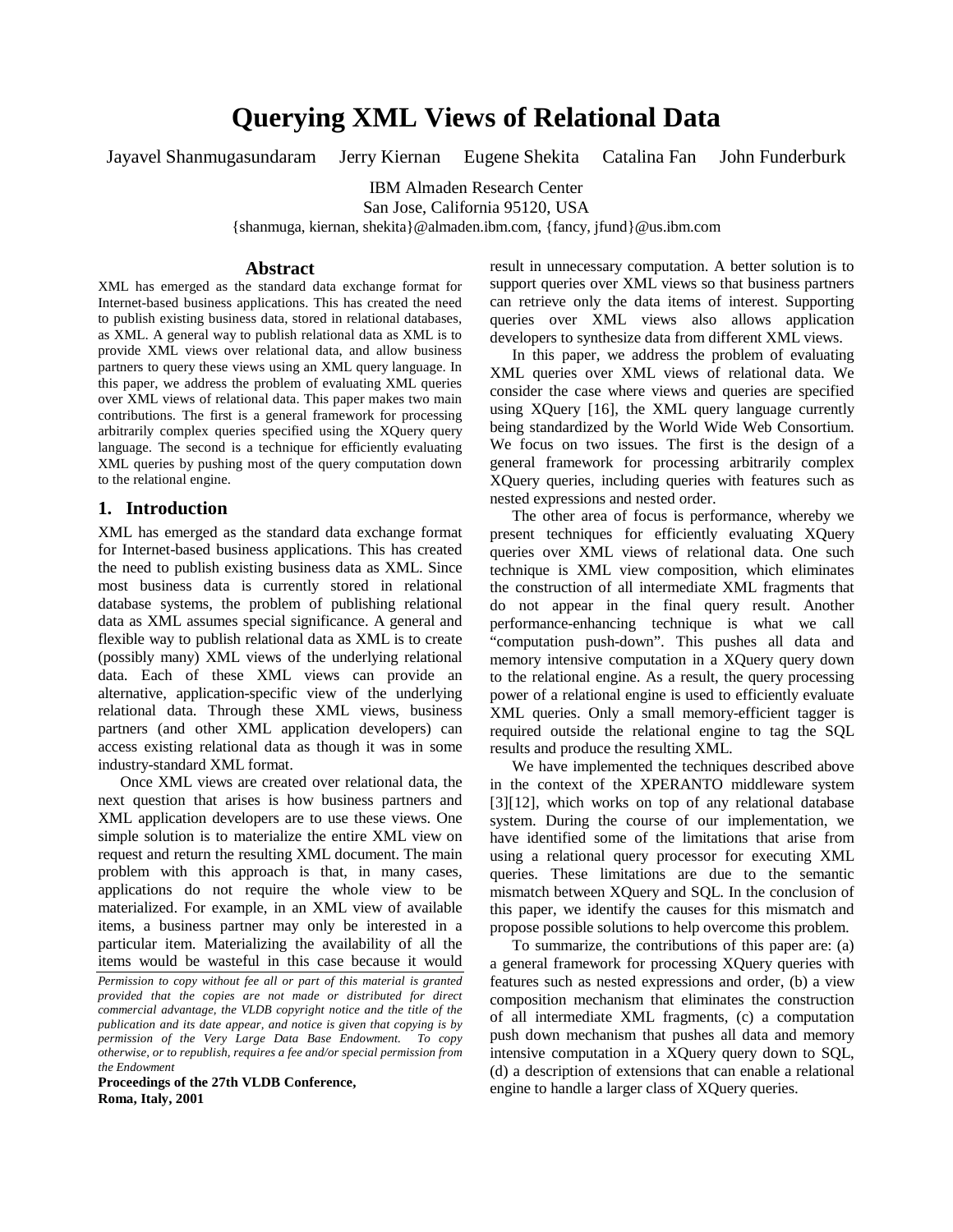# **Querying XML Views of Relational Data**

Jayavel Shanmugasundaram Jerry Kiernan Eugene Shekita Catalina Fan John Funderburk

IBM Almaden Research Center

San Jose, California 95120, USA

{shanmuga, kiernan, shekita}@almaden.ibm.com, {fancy, jfund}@us.ibm.com

#### **Abstract**

XML has emerged as the standard data exchange format for Internet-based business applications. This has created the need to publish existing business data, stored in relational databases, as XML. A general way to publish relational data as XML is to provide XML views over relational data, and allow business partners to query these views using an XML query language. In this paper, we address the problem of evaluating XML queries over XML views of relational data. This paper makes two main contributions. The first is a general framework for processing arbitrarily complex queries specified using the XQuery query language. The second is a technique for efficiently evaluating XML queries by pushing most of the query computation down to the relational engine.

## **1. Introduction**

XML has emerged as the standard data exchange format for Internet-based business applications. This has created the need to publish existing business data as XML. Since most business data is currently stored in relational database systems, the problem of publishing relational data as XML assumes special significance. A general and flexible way to publish relational data as XML is to create (possibly many) XML views of the underlying relational data. Each of these XML views can provide an alternative, application-specific view of the underlying relational data. Through these XML views, business partners (and other XML application developers) can access existing relational data as though it was in some industry-standard XML format.

Once XML views are created over relational data, the next question that arises is how business partners and XML application developers are to use these views. One simple solution is to materialize the entire XML view on request and return the resulting XML document. The main problem with this approach is that, in many cases, applications do not require the whole view to be materialized. For example, in an XML view of available items, a business partner may only be interested in a particular item. Materializing the availability of all the items would be wasteful in this case because it would

**Proceedings of the 27th VLDB Conference, Roma, Italy, 2001**

result in unnecessary computation. A better solution is to support queries over XML views so that business partners can retrieve only the data items of interest. Supporting queries over XML views also allows application developers to synthesize data from different XML views.

In this paper, we address the problem of evaluating XML queries over XML views of relational data. We consider the case where views and queries are specified using XQuery [16], the XML query language currently being standardized by the World Wide Web Consortium. We focus on two issues. The first is the design of a general framework for processing arbitrarily complex XQuery queries, including queries with features such as nested expressions and nested order.

The other area of focus is performance, whereby we present techniques for efficiently evaluating XQuery queries over XML views of relational data. One such technique is XML view composition, which eliminates the construction of all intermediate XML fragments that do not appear in the final query result. Another performance-enhancing technique is what we call "computation push-down". This pushes all data and memory intensive computation in a XQuery query down to the relational engine. As a result, the query processing power of a relational engine is used to efficiently evaluate XML queries. Only a small memory-efficient tagger is required outside the relational engine to tag the SQL results and produce the resulting XML.

We have implemented the techniques described above in the context of the XPERANTO middleware system [3][12], which works on top of any relational database system. During the course of our implementation, we have identified some of the limitations that arise from using a relational query processor for executing XML queries. These limitations are due to the semantic mismatch between XQuery and SQL. In the conclusion of this paper, we identify the causes for this mismatch and propose possible solutions to help overcome this problem.

To summarize, the contributions of this paper are: (a) a general framework for processing XQuery queries with features such as nested expressions and order, (b) a view composition mechanism that eliminates the construction of all intermediate XML fragments, (c) a computation push down mechanism that pushes all data and memory intensive computation in a XQuery query down to SQL, (d) a description of extensions that can enable a relational engine to handle a larger class of XQuery queries.

*Permission to copy without fee all or part of this material is granted provided that the copies are not made or distributed for direct commercial advantage, the VLDB copyright notice and the title of the publication and its date appear, and notice is given that copying is by permission of the Very Large Data Base Endowment. To copy otherwise, or to republish, requires a fee and/or special permission from the Endowment*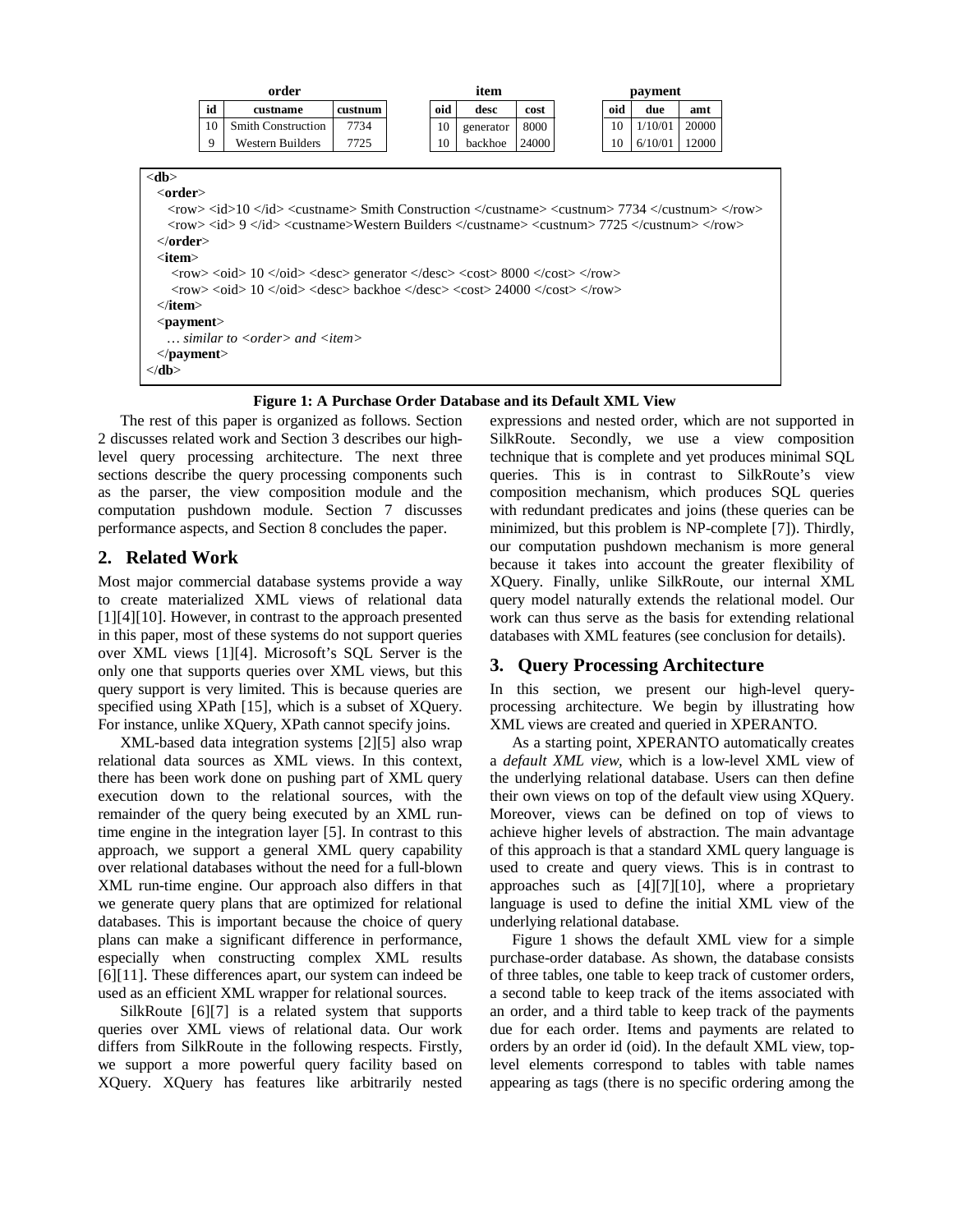|                                                                                      | order                                                                                                                                                                                                                                                 |                                                                                                                                                                                                                                              |         |  | item |           |       | payment |     |         |       |  |
|--------------------------------------------------------------------------------------|-------------------------------------------------------------------------------------------------------------------------------------------------------------------------------------------------------------------------------------------------------|----------------------------------------------------------------------------------------------------------------------------------------------------------------------------------------------------------------------------------------------|---------|--|------|-----------|-------|---------|-----|---------|-------|--|
|                                                                                      | id                                                                                                                                                                                                                                                    | custname                                                                                                                                                                                                                                     | custnum |  | oid  | desc      | cost  |         | oid | due     | amt   |  |
|                                                                                      | 10                                                                                                                                                                                                                                                    | <b>Smith Construction</b>                                                                                                                                                                                                                    | 7734    |  | 10   | generator | 8000  |         | 10  | 1/10/01 | 20000 |  |
|                                                                                      | 9                                                                                                                                                                                                                                                     | Western Builders                                                                                                                                                                                                                             | 7725    |  | 10   | backhoe   | 24000 |         | 10  | 6/10/01 | 12000 |  |
|                                                                                      |                                                                                                                                                                                                                                                       |                                                                                                                                                                                                                                              |         |  |      |           |       |         |     |         |       |  |
| <db></db>                                                                            |                                                                                                                                                                                                                                                       |                                                                                                                                                                                                                                              |         |  |      |           |       |         |     |         |       |  |
| <order></order>                                                                      |                                                                                                                                                                                                                                                       |                                                                                                                                                                                                                                              |         |  |      |           |       |         |     |         |       |  |
|                                                                                      |                                                                                                                                                                                                                                                       | $\langle$ row> $\langle$ id> $\langle$ /id> $\langle$ custname> $\langle$ Smith Construction $\langle$ /custname> $\langle$ custnum> $7734$ $\langle$ /custnum> $\langle$ /row>                                                              |         |  |      |           |       |         |     |         |       |  |
|                                                                                      | $\langle$ row> $\langle$ id> $9 \langle$ /id> $\langle$ custname>Western Builders $\langle$ /custname> $\langle$ custnum> $7725 \langle$ /custnum> $\langle$ /row>                                                                                    |                                                                                                                                                                                                                                              |         |  |      |           |       |         |     |         |       |  |
| $<$ /order $>$                                                                       |                                                                                                                                                                                                                                                       |                                                                                                                                                                                                                                              |         |  |      |           |       |         |     |         |       |  |
| $\langle$ item $\rangle$                                                             |                                                                                                                                                                                                                                                       |                                                                                                                                                                                                                                              |         |  |      |           |       |         |     |         |       |  |
|                                                                                      | $\langle \text{row} \rangle \langle \text{odd} \rangle$ 10 $\langle \text{odd} \rangle \langle \text{desc} \rangle$ generator $\langle \text{desc} \rangle \langle \text{cost} \rangle$ 8000 $\langle \text{cost} \rangle \langle \text{row} \rangle$ |                                                                                                                                                                                                                                              |         |  |      |           |       |         |     |         |       |  |
|                                                                                      |                                                                                                                                                                                                                                                       | $\langle \text{row}\rangle \langle \text{odd}\rangle$ 10 $\langle \text{odd}\rangle \langle \text{desc}\rangle$ backhoe $\langle \text{desc}\rangle \langle \text{cost}\rangle$ 24000 $\langle \text{cost}\rangle \langle \text{row}\rangle$ |         |  |      |           |       |         |     |         |       |  |
|                                                                                      | $\langle$ item $\rangle$                                                                                                                                                                                                                              |                                                                                                                                                                                                                                              |         |  |      |           |       |         |     |         |       |  |
|                                                                                      | $<$ payment $>$                                                                                                                                                                                                                                       |                                                                                                                                                                                                                                              |         |  |      |           |       |         |     |         |       |  |
| $\ldots$ similar to $\langle \text{order} \rangle$ and $\langle \text{item} \rangle$ |                                                                                                                                                                                                                                                       |                                                                                                                                                                                                                                              |         |  |      |           |       |         |     |         |       |  |
| $<$ /payment $>$                                                                     |                                                                                                                                                                                                                                                       |                                                                                                                                                                                                                                              |         |  |      |           |       |         |     |         |       |  |
| $<$ db>                                                                              |                                                                                                                                                                                                                                                       |                                                                                                                                                                                                                                              |         |  |      |           |       |         |     |         |       |  |
|                                                                                      |                                                                                                                                                                                                                                                       |                                                                                                                                                                                                                                              |         |  |      |           |       |         |     |         |       |  |

**Figure 1: A Purchase Order Database and its Default XML View**

The rest of this paper is organized as follows. Section 2 discusses related work and Section 3 describes our highlevel query processing architecture. The next three sections describe the query processing components such as the parser, the view composition module and the computation pushdown module. Section 7 discusses performance aspects, and Section 8 concludes the paper.

# **2. Related Work**

Most major commercial database systems provide a way to create materialized XML views of relational data [1][4][10]. However, in contrast to the approach presented in this paper, most of these systems do not support queries over XML views [1][4]. Microsoft's SQL Server is the only one that supports queries over XML views, but this query support is very limited. This is because queries are specified using XPath [15], which is a subset of XQuery. For instance, unlike XQuery, XPath cannot specify joins.

XML-based data integration systems [2][5] also wrap relational data sources as XML views. In this context, there has been work done on pushing part of XML query execution down to the relational sources, with the remainder of the query being executed by an XML runtime engine in the integration layer [5]. In contrast to this approach, we support a general XML query capability over relational databases without the need for a full-blown XML run-time engine. Our approach also differs in that we generate query plans that are optimized for relational databases. This is important because the choice of query plans can make a significant difference in performance, especially when constructing complex XML results [6][11]. These differences apart, our system can indeed be used as an efficient XML wrapper for relational sources.

SilkRoute [6][7] is a related system that supports queries over XML views of relational data. Our work differs from SilkRoute in the following respects. Firstly, we support a more powerful query facility based on XQuery. XQuery has features like arbitrarily nested expressions and nested order, which are not supported in SilkRoute. Secondly, we use a view composition technique that is complete and yet produces minimal SQL queries. This is in contrast to SilkRoute's view composition mechanism, which produces SQL queries with redundant predicates and joins (these queries can be minimized, but this problem is NP-complete [7]). Thirdly, our computation pushdown mechanism is more general because it takes into account the greater flexibility of XQuery. Finally, unlike SilkRoute, our internal XML query model naturally extends the relational model. Our work can thus serve as the basis for extending relational databases with XML features (see conclusion for details).

# **3. Query Processing Architecture**

In this section, we present our high-level queryprocessing architecture. We begin by illustrating how XML views are created and queried in XPERANTO.

As a starting point, XPERANTO automatically creates a *default XML view,* which is a low-level XML view of the underlying relational database. Users can then define their own views on top of the default view using XQuery. Moreover, views can be defined on top of views to achieve higher levels of abstraction. The main advantage of this approach is that a standard XML query language is used to create and query views. This is in contrast to approaches such as [4][7][10], where a proprietary language is used to define the initial XML view of the underlying relational database.

Figure 1 shows the default XML view for a simple purchase-order database. As shown, the database consists of three tables, one table to keep track of customer orders, a second table to keep track of the items associated with an order, and a third table to keep track of the payments due for each order. Items and payments are related to orders by an order id (oid). In the default XML view, toplevel elements correspond to tables with table names appearing as tags (there is no specific ordering among the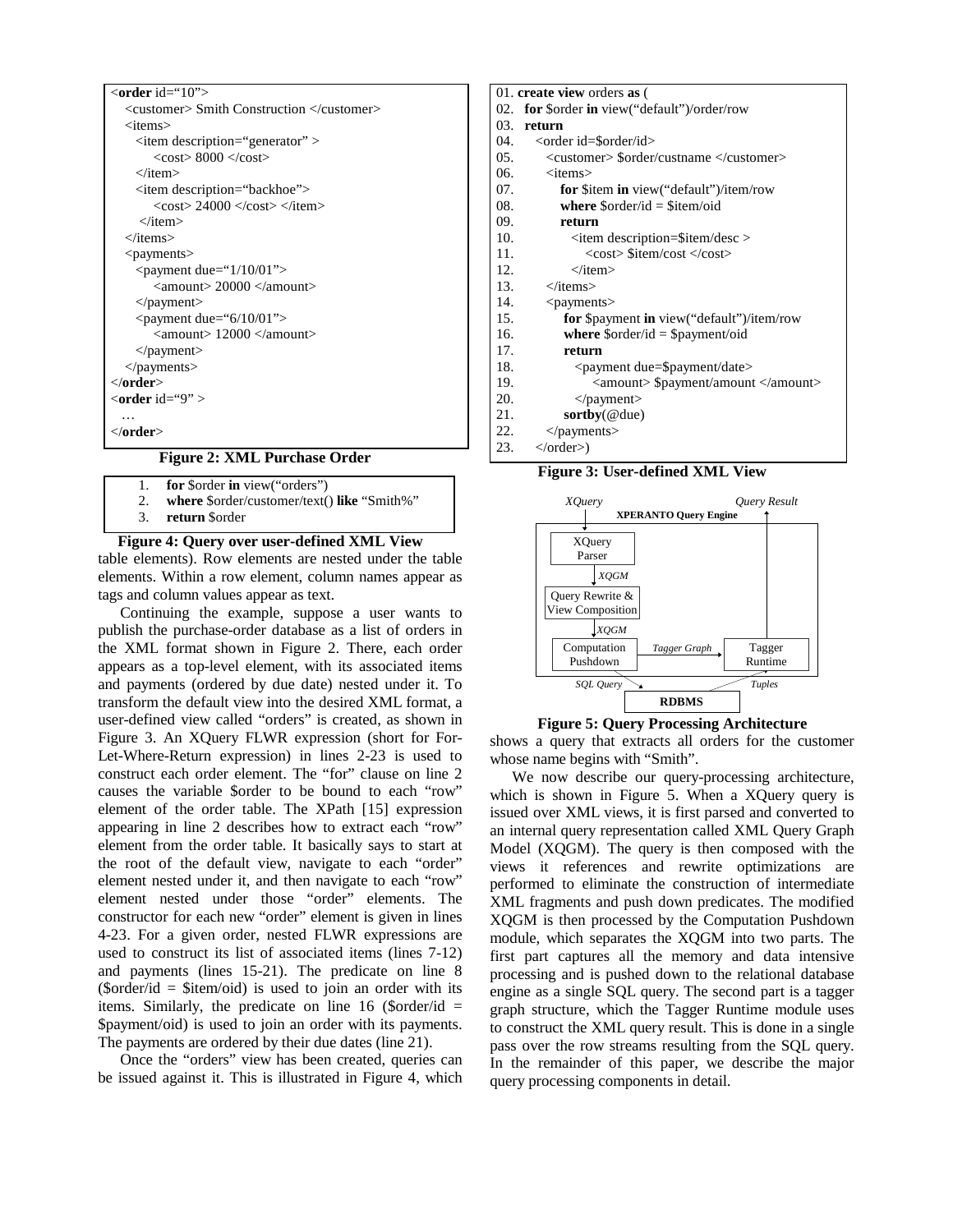| $\le$ order id="10">                                         |
|--------------------------------------------------------------|
| <customer> Smith Construction </customer>                    |
| <items></items>                                              |
| <item description="generator"></item>                        |
| $<$ cost $>$ 8000 $<$ /cost $>$                              |
| $\langle$ item $\rangle$                                     |
| <item description="backhoe"></item>                          |
| $<$ cost $>$ 24000 $<$ /cost $>$ $<$ /item $>$               |
| $\langle$ /item $\rangle$                                    |
| $\langle$ items>                                             |
| $<$ payments $>$                                             |
| $\epsilon$ <payment due="1/10/01"></payment>                 |
| $\langle$ amount $>$ 20000 $\langle$ /amount $>$             |
| $<$ /payment $>$                                             |
| $\epsilon$ <payment due="6/10/01"></payment>                 |
| $\langle$ amount $\rangle$ 12000 $\langle$ /amount $\rangle$ |
| $<$ /payment $>$                                             |
| $<$ /payments>                                               |
| $\langle$ order $>$                                          |
| $\langle$ order id="9" >                                     |
| .                                                            |
| $<$ /order $>$                                               |
| $-1$ $-1$<br>$\sim$<br>--                                    |

#### **Figure 2: XML Purchase Order**

- 1. **for** \$order **in** view("orders")
- 2. **where** \$order/customer/text() **like** "Smith%"
- 3. **return** \$order

#### table elements). Row elements are nested under the table elements. Within a row element, column names appear as tags and column values appear as text. **Figure 4: Query over user-defined XML View**

Continuing the example, suppose a user wants to publish the purchase-order database as a list of orders in the XML format shown in Figure 2. There, each order appears as a top-level element, with its associated items and payments (ordered by due date) nested under it. To transform the default view into the desired XML format, a user-defined view called "orders" is created, as shown in Figure 3. An XQuery FLWR expression (short for For-Let-Where-Return expression) in lines 2-23 is used to construct each order element. The "for" clause on line 2 causes the variable \$order to be bound to each "row" element of the order table. The XPath [15] expression appearing in line 2 describes how to extract each "row" element from the order table. It basically says to start at the root of the default view, navigate to each "order" element nested under it, and then navigate to each "row" element nested under those "order" elements. The constructor for each new "order" element is given in lines 4-23. For a given order, nested FLWR expressions are used to construct its list of associated items (lines 7-12) and payments (lines 15-21). The predicate on line 8 (\$order/id = \$item/oid) is used to join an order with its items. Similarly, the predicate on line 16 (\$order/id  $=$ \$payment/oid) is used to join an order with its payments. The payments are ordered by their due dates (line 21).

Once the "orders" view has been created, queries can be issued against it. This is illustrated in Figure 4, which

|     | 01. create view orders as (                                  |
|-----|--------------------------------------------------------------|
| 02. | for \$order in view("default")/order/row                     |
| 03. | return                                                       |
| 04. | <order id="\$order/id"></order>                              |
| 05. | <customer> \$order/custname </customer>                      |
| 06. | $\langle$ items $\rangle$                                    |
| 07. | <b>for</b> \$item <b>in</b> view("default")/item/row         |
| 08. | where $\text{Sorder}/\text{id} = \text{Sitem}/\text{oid}$    |
| 09. | return                                                       |
| 10. | $\le$ item description=\$item/desc >                         |
| 11. | <cost> \$item/cost </cost>                                   |
| 12. | $\langle$ item $\rangle$                                     |
| 13. | $\langle$ items $\rangle$                                    |
| 14. | $<$ payments $>$                                             |
| 15. | for \$payment in view("default")/item/row                    |
| 16. | where $\text{Sorder}/\text{id} = \text{Spayment}/\text{oid}$ |
| 17. | return                                                       |
| 18. | <payment due="\$payment/date"></payment>                     |
| 19. | <amount> \$payment/amount </amount>                          |
| 20. | $<$ /payment $>$                                             |
| 21. | $sortby(@$ due)                                              |
| 22. | $<$ /payments>                                               |
| 23. | $\langle$ order $\rangle$ )                                  |

**Figure 3: User-defined XML View**



**Figure 5: Query Processing Architecture**

shows a query that extracts all orders for the customer whose name begins with "Smith".

We now describe our query-processing architecture, which is shown in Figure 5. When a XQuery query is issued over XML views, it is first parsed and converted to an internal query representation called XML Query Graph Model (XQGM). The query is then composed with the views it references and rewrite optimizations are performed to eliminate the construction of intermediate XML fragments and push down predicates. The modified XQGM is then processed by the Computation Pushdown module, which separates the XQGM into two parts. The first part captures all the memory and data intensive processing and is pushed down to the relational database engine as a single SQL query. The second part is a tagger graph structure, which the Tagger Runtime module uses to construct the XML query result. This is done in a single pass over the row streams resulting from the SQL query. In the remainder of this paper, we describe the major query processing components in detail.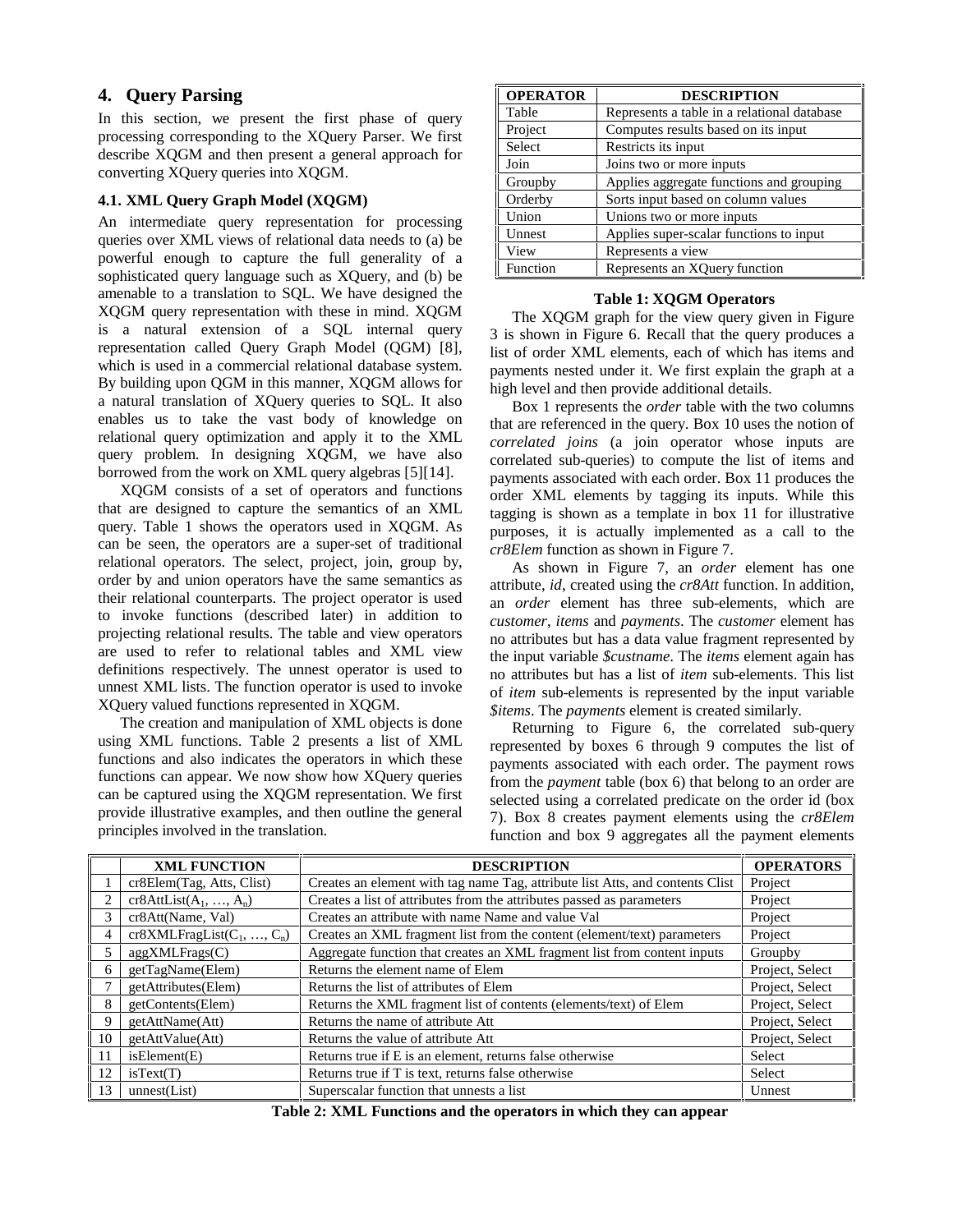# **4. Query Parsing**

In this section, we present the first phase of query processing corresponding to the XQuery Parser. We first describe XQGM and then present a general approach for converting XQuery queries into XQGM.

## **4.1. XML Query Graph Model (XQGM)**

An intermediate query representation for processing queries over XML views of relational data needs to (a) be powerful enough to capture the full generality of a sophisticated query language such as XQuery, and (b) be amenable to a translation to SQL. We have designed the XQGM query representation with these in mind. XQGM is a natural extension of a SQL internal query representation called Query Graph Model (QGM) [8], which is used in a commercial relational database system. By building upon QGM in this manner, XQGM allows for a natural translation of XQuery queries to SQL. It also enables us to take the vast body of knowledge on relational query optimization and apply it to the XML query problem. In designing XQGM, we have also borrowed from the work on XML query algebras [5][14].

XQGM consists of a set of operators and functions that are designed to capture the semantics of an XML query. Table 1 shows the operators used in XQGM. As can be seen, the operators are a super-set of traditional relational operators. The select, project, join, group by, order by and union operators have the same semantics as their relational counterparts. The project operator is used to invoke functions (described later) in addition to projecting relational results. The table and view operators are used to refer to relational tables and XML view definitions respectively. The unnest operator is used to unnest XML lists. The function operator is used to invoke XQuery valued functions represented in XQGM.

The creation and manipulation of XML objects is done using XML functions. Table 2 presents a list of XML functions and also indicates the operators in which these functions can appear. We now show how XQuery queries can be captured using the XQGM representation. We first provide illustrative examples, and then outline the general principles involved in the translation.

| <b>OPERATOR</b> | <b>DESCRIPTION</b>                          |  |  |  |
|-----------------|---------------------------------------------|--|--|--|
| Table           | Represents a table in a relational database |  |  |  |
| Project         | Computes results based on its input         |  |  |  |
| Select          | Restricts its input                         |  |  |  |
| Join            | Joins two or more inputs                    |  |  |  |
| Groupby         | Applies aggregate functions and grouping    |  |  |  |
| Orderby         | Sorts input based on column values          |  |  |  |
| Union           | Unions two or more inputs                   |  |  |  |
| Unnest          | Applies super-scalar functions to input     |  |  |  |
| View            | Represents a view                           |  |  |  |
| Function        | Represents an XQuery function               |  |  |  |

#### **Table 1: XQGM Operators**

The XQGM graph for the view query given in Figure 3 is shown in Figure 6. Recall that the query produces a list of order XML elements, each of which has items and payments nested under it. We first explain the graph at a high level and then provide additional details.

Box 1 represents the *order* table with the two columns that are referenced in the query. Box 10 uses the notion of *correlated joins* (a join operator whose inputs are correlated sub-queries) to compute the list of items and payments associated with each order. Box 11 produces the order XML elements by tagging its inputs. While this tagging is shown as a template in box 11 for illustrative purposes, it is actually implemented as a call to the *cr8Elem* function as shown in Figure 7.

As shown in Figure 7, an *order* element has one attribute, *id*, created using the *cr8Att* function. In addition, an *order* element has three sub-elements, which are *customer*, *items* and *payments*. The *customer* element has no attributes but has a data value fragment represented by the input variable *\$custname*. The *items* element again has no attributes but has a list of *item* sub-elements. This list of *item* sub-elements is represented by the input variable *\$items*. The *payments* element is created similarly.

Returning to Figure 6, the correlated sub-query represented by boxes 6 through 9 computes the list of payments associated with each order. The payment rows from the *payment* table (box 6) that belong to an order are selected using a correlated predicate on the order id (box 7). Box 8 creates payment elements using the *cr8Elem* function and box 9 aggregates all the payment elements

|                | <b>XML FUNCTION</b><br><b>DESCRIPTION</b> |                                                                               | <b>OPERATORS</b> |
|----------------|-------------------------------------------|-------------------------------------------------------------------------------|------------------|
|                | cr8Elem(Tag, Atts, Clist)                 | Creates an element with tag name Tag, attribute list Atts, and contents Clist | Project          |
|                | $cr8AttList(A_1, , A_n)$                  | Creates a list of attributes from the attributes passed as parameters         | Project          |
|                | cr8Att(Name, Val)                         | Creates an attribute with name Name and value Val                             | Project          |
| 4 <sup>1</sup> | $cr8XMLFragList(C_1, , C_n)$              | Creates an XML fragment list from the content (element/text) parameters       | Project          |
|                | aggXMLFrags(C)                            | Aggregate function that creates an XML fragment list from content inputs      | Groupby          |
| 6              | getTagName(Elem)                          | Returns the element name of Elem                                              | Project, Select  |
|                | getAttributes(Elem)                       | Returns the list of attributes of Elem                                        | Project, Select  |
| 8              | getContents(Elem)                         | Returns the XML fragment list of contents (elements/text) of Elem             | Project, Select  |
| 9              | getAttName(Att)                           | Returns the name of attribute Att                                             | Project, Select  |
| 10             | getAttValue(Att)                          | Returns the value of attribute Att                                            | Project, Select  |
| 11             | isElement(E)                              | Returns true if E is an element, returns false otherwise                      | Select           |
| 12             | isText(T)                                 | Returns true if T is text, returns false otherwise                            | Select           |
| 13             | unnest(List)                              | Superscalar function that unnests a list                                      | Unnest           |

**Table 2: XML Functions and the operators in which they can appear**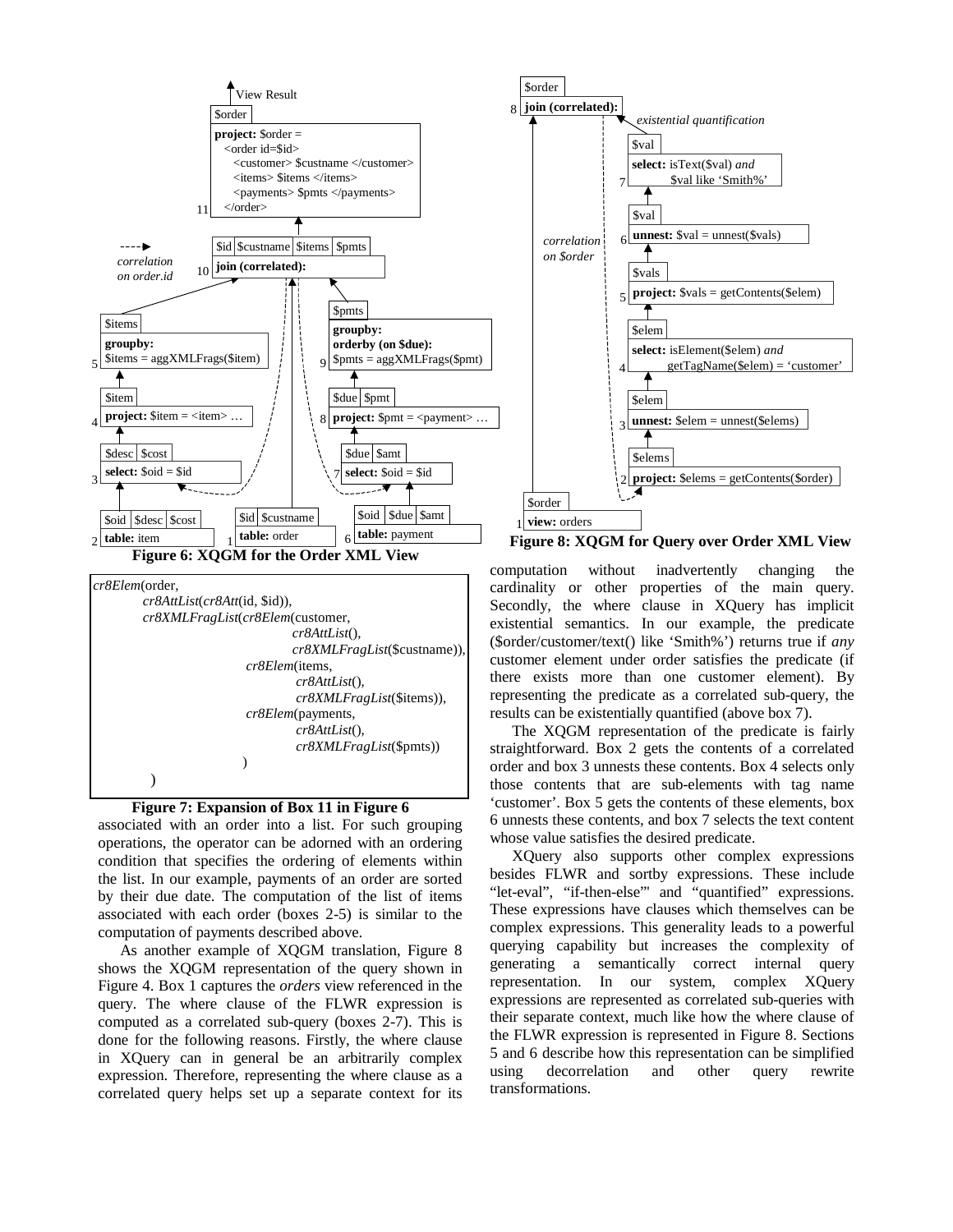



)

)

associated with an order into a list. For such grouping operations, the operator can be adorned with an ordering condition that specifies the ordering of elements within the list. In our example, payments of an order are sorted by their due date. The computation of the list of items associated with each order (boxes 2-5) is similar to the computation of payments described above.

As another example of XQGM translation, Figure 8 shows the XQGM representation of the query shown in Figure 4. Box 1 captures the *orders* view referenced in the query. The where clause of the FLWR expression is computed as a correlated sub-query (boxes 2-7). This is done for the following reasons. Firstly, the where clause in XQuery can in general be an arbitrarily complex expression. Therefore, representing the where clause as a correlated query helps set up a separate context for its



**Figure 8: XQGM for Query over Order XML View**

computation without inadvertently changing the cardinality or other properties of the main query. Secondly, the where clause in XQuery has implicit existential semantics. In our example, the predicate (\$order/customer/text() like 'Smith%') returns true if *any* customer element under order satisfies the predicate (if there exists more than one customer element). By representing the predicate as a correlated sub-query, the results can be existentially quantified (above box 7).

The XQGM representation of the predicate is fairly straightforward. Box 2 gets the contents of a correlated order and box 3 unnests these contents. Box 4 selects only those contents that are sub-elements with tag name 'customer'. Box 5 gets the contents of these elements, box 6 unnests these contents, and box 7 selects the text content whose value satisfies the desired predicate.

XQuery also supports other complex expressions besides FLWR and sortby expressions. These include "let-eval", "if-then-else" and "quantified" expressions. These expressions have clauses which themselves can be complex expressions. This generality leads to a powerful querying capability but increases the complexity of generating a semantically correct internal query representation. In our system, complex XQuery expressions are represented as correlated sub-queries with their separate context, much like how the where clause of the FLWR expression is represented in Figure 8. Sections 5 and 6 describe how this representation can be simplified using decorrelation and other query rewrite transformations.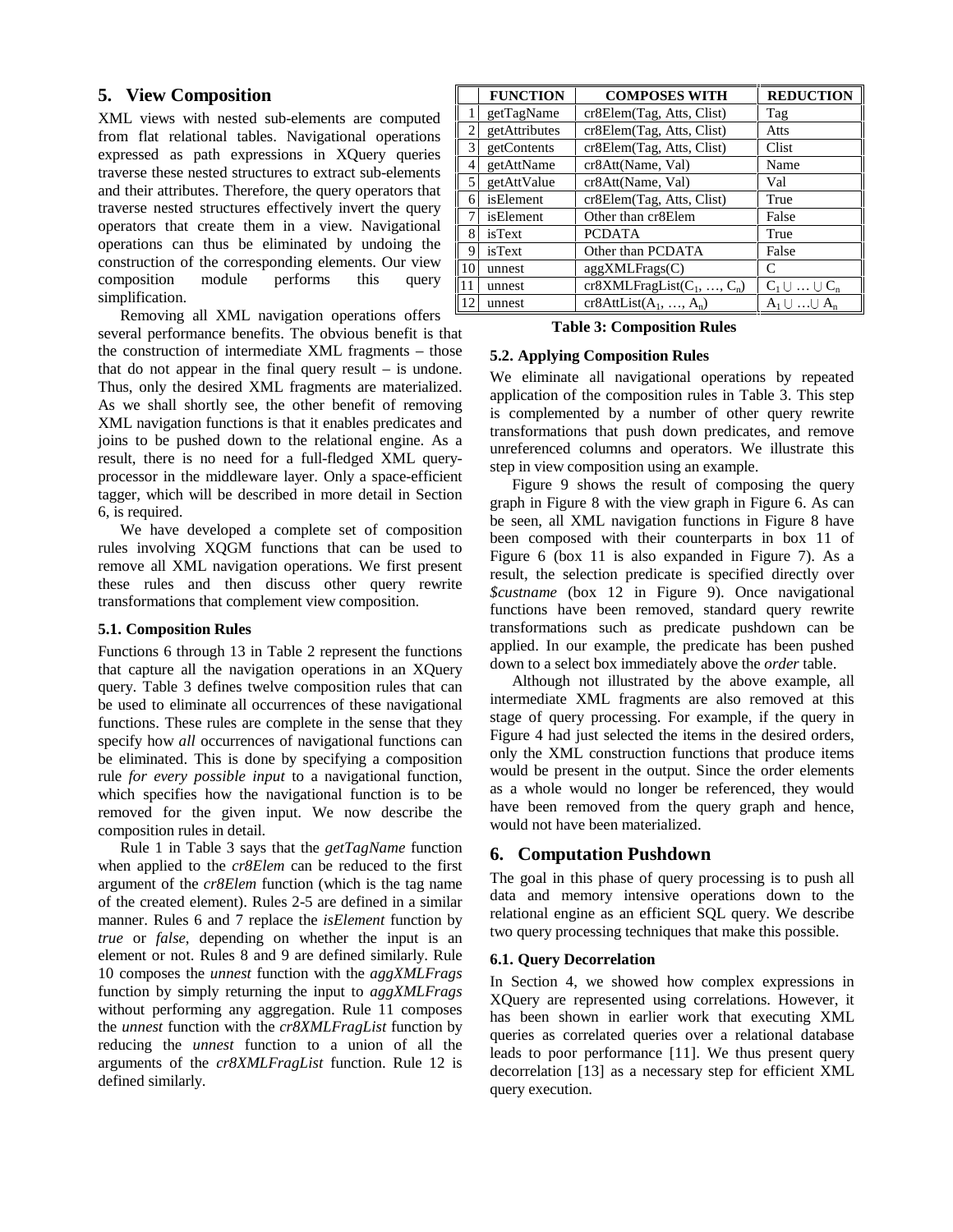# **5. View Composition**

XML views with nested sub-elements are computed from flat relational tables. Navigational operations expressed as path expressions in XQuery queries traverse these nested structures to extract sub-elements and their attributes. Therefore, the query operators that traverse nested structures effectively invert the query operators that create them in a view. Navigational operations can thus be eliminated by undoing the construction of the corresponding elements. Our view composition module performs this query simplification.

Removing all XML navigation operations offers several performance benefits. The obvious benefit is that the construction of intermediate XML fragments – those that do not appear in the final query result – is undone. Thus, only the desired XML fragments are materialized. As we shall shortly see, the other benefit of removing XML navigation functions is that it enables predicates and joins to be pushed down to the relational engine. As a result, there is no need for a full-fledged XML queryprocessor in the middleware layer. Only a space-efficient tagger, which will be described in more detail in Section 6, is required.

We have developed a complete set of composition rules involving XQGM functions that can be used to remove all XML navigation operations. We first present these rules and then discuss other query rewrite transformations that complement view composition.

## **5.1. Composition Rules**

Functions 6 through 13 in Table 2 represent the functions that capture all the navigation operations in an XQuery query. Table 3 defines twelve composition rules that can be used to eliminate all occurrences of these navigational functions. These rules are complete in the sense that they specify how *all* occurrences of navigational functions can be eliminated. This is done by specifying a composition rule *for every possible input* to a navigational function, which specifies how the navigational function is to be removed for the given input. We now describe the composition rules in detail.

Rule 1 in Table 3 says that the *getTagName* function when applied to the *cr8Elem* can be reduced to the first argument of the *cr8Elem* function (which is the tag name of the created element). Rules 2-5 are defined in a similar manner. Rules 6 and 7 replace the *isElement* function by *true* or *false*, depending on whether the input is an element or not. Rules 8 and 9 are defined similarly. Rule 10 composes the *unnest* function with the *aggXMLFrags* function by simply returning the input to *aggXMLFrags* without performing any aggregation. Rule 11 composes the *unnest* function with the *cr8XMLFragList* function by reducing the *unnest* function to a union of all the arguments of the *cr8XMLFragList* function. Rule 12 is defined similarly.

|                | <b>FUNCTION</b> | <b>COMPOSES WITH</b>                           | <b>REDUCTION</b>     |
|----------------|-----------------|------------------------------------------------|----------------------|
|                | getTagName      | cr8Elem(Tag, Atts, Clist)                      | Tag                  |
| $\overline{2}$ | getAttributes   | cr8Elem(Tag, Atts, Clist)                      | Atts                 |
| 3              | getContents     | cr8Elem(Tag, Atts, Clist)                      | Clist                |
| 4              | getAttName      | cr8Att(Name, Val)                              | Name                 |
| 5              | getAttValue     | cr8Att(Name, Val)                              | Val                  |
| 6              | isElement       | cr8Elem(Tag, Atts, Clist)                      | True                 |
| 7              | isElement       | Other than cr <sub>8</sub> Elem                | False                |
| 8              | isText          | <b>PCDATA</b>                                  | True                 |
| 9              | isText          | Other than PCDATA                              | False                |
| 10             | unnest          | aggXMLFrags(C)                                 | C                    |
| 11             | unnest          | $cr8XMLFragList(C_1, , C_n)$                   | $C_1 \cup  \cup C_n$ |
| 12             | unnest          | $\overline{\text{cr8}}$ AttList $(A_1, , A_n)$ | $A_1 \cup  \cup A_n$ |

**Table 3: Composition Rules**

# **5.2. Applying Composition Rules**

We eliminate all navigational operations by repeated application of the composition rules in Table 3. This step is complemented by a number of other query rewrite transformations that push down predicates, and remove unreferenced columns and operators. We illustrate this step in view composition using an example.

Figure 9 shows the result of composing the query graph in Figure 8 with the view graph in Figure 6. As can be seen, all XML navigation functions in Figure 8 have been composed with their counterparts in box 11 of Figure 6 (box 11 is also expanded in Figure 7). As a result, the selection predicate is specified directly over *\$custname* (box 12 in Figure 9). Once navigational functions have been removed, standard query rewrite transformations such as predicate pushdown can be applied. In our example, the predicate has been pushed down to a select box immediately above the *order* table.

Although not illustrated by the above example, all intermediate XML fragments are also removed at this stage of query processing. For example, if the query in Figure 4 had just selected the items in the desired orders, only the XML construction functions that produce items would be present in the output. Since the order elements as a whole would no longer be referenced, they would have been removed from the query graph and hence, would not have been materialized.

# **6. Computation Pushdown**

The goal in this phase of query processing is to push all data and memory intensive operations down to the relational engine as an efficient SQL query. We describe two query processing techniques that make this possible.

## **6.1. Query Decorrelation**

In Section 4, we showed how complex expressions in XQuery are represented using correlations. However, it has been shown in earlier work that executing XML queries as correlated queries over a relational database leads to poor performance [11]. We thus present query decorrelation [13] as a necessary step for efficient XML query execution.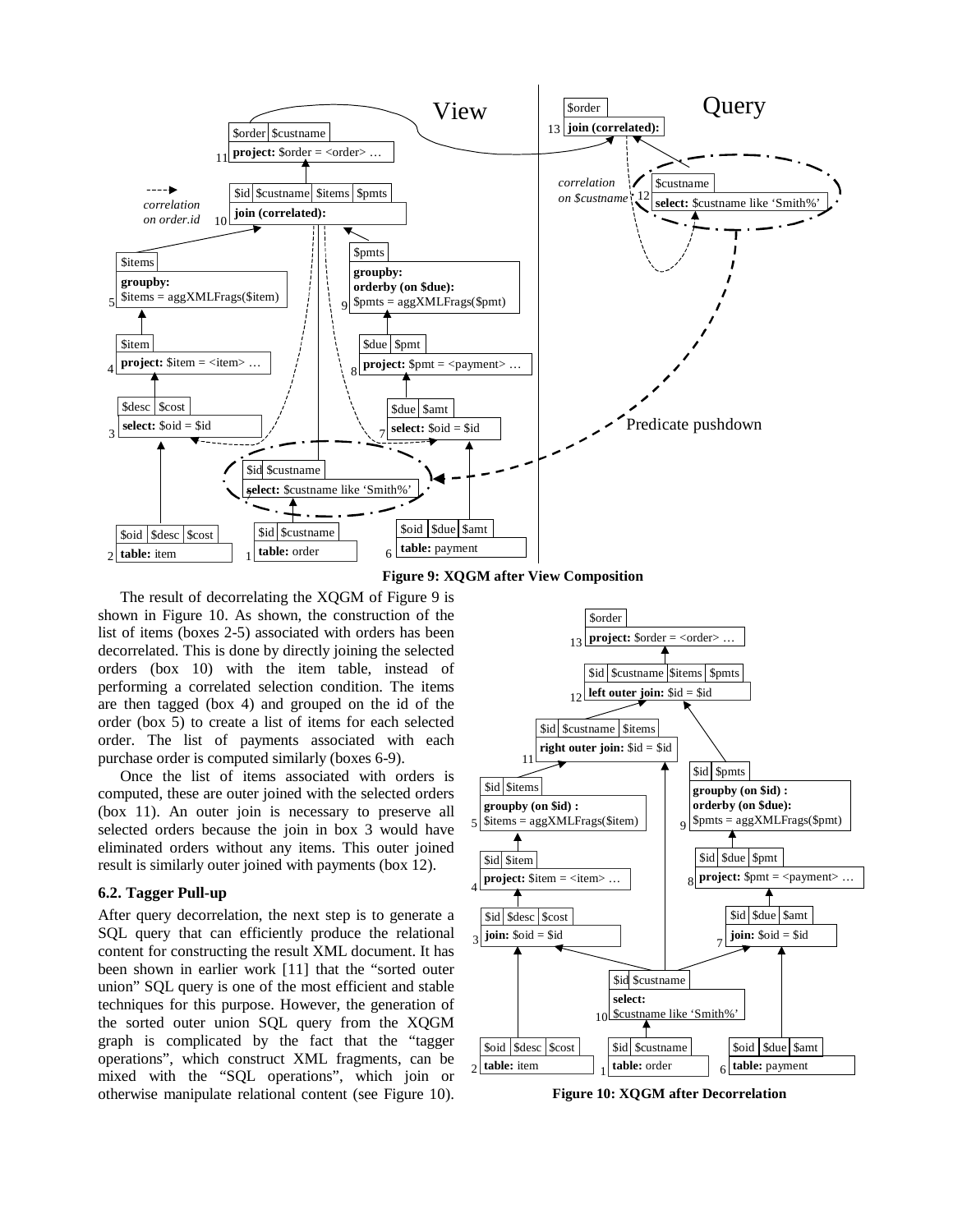



The result of decorrelating the XQGM of Figure 9 is shown in Figure 10. As shown, the construction of the list of items (boxes 2-5) associated with orders has been decorrelated. This is done by directly joining the selected orders (box 10) with the item table, instead of performing a correlated selection condition. The items are then tagged (box 4) and grouped on the id of the order (box 5) to create a list of items for each selected order. The list of payments associated with each purchase order is computed similarly (boxes 6-9).

Once the list of items associated with orders is computed, these are outer joined with the selected orders (box 11). An outer join is necessary to preserve all selected orders because the join in box 3 would have eliminated orders without any items. This outer joined result is similarly outer joined with payments (box 12).

#### **6.2. Tagger Pull-up**

After query decorrelation, the next step is to generate a SQL query that can efficiently produce the relational content for constructing the result XML document. It has been shown in earlier work [11] that the "sorted outer union" SQL query is one of the most efficient and stable techniques for this purpose. However, the generation of the sorted outer union SQL query from the XQGM graph is complicated by the fact that the "tagger operations", which construct XML fragments, can be mixed with the "SQL operations", which join or otherwise manipulate relational content (see Figure 10).



**Figure 10: XQGM after Decorrelation**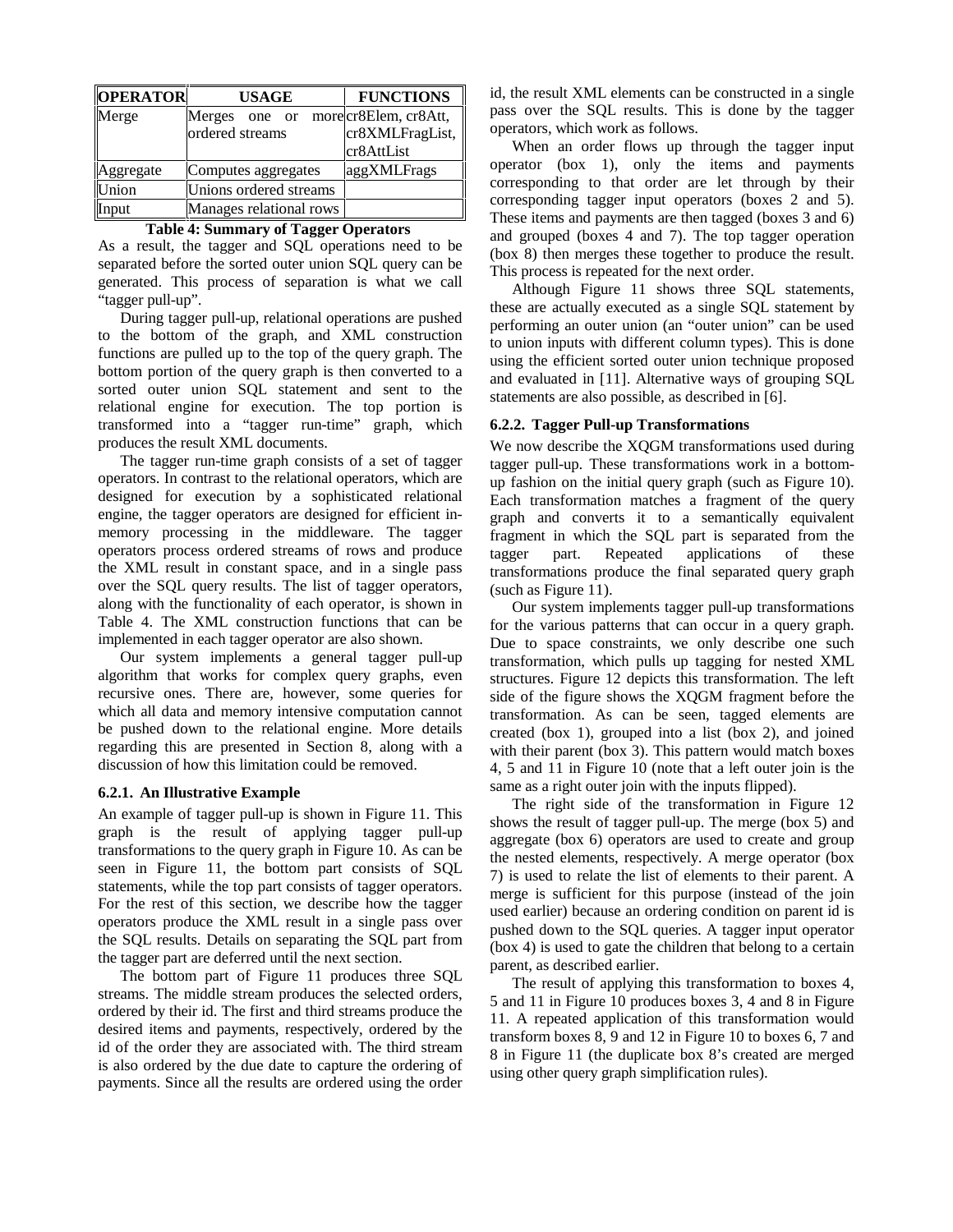| <b>OPERATOR</b>                  | <b>USAGE</b>           | <b>FUNCTIONS</b>      |
|----------------------------------|------------------------|-----------------------|
| Merge                            | Merges<br>one or       | more cr8Elem, cr8Att, |
|                                  | ordered streams        | cr8XMLFragList,       |
|                                  |                        | cr8AttList            |
| Aggregate                        | Computes aggregates    | aggXMLFrags           |
| Union                            | Unions ordered streams |                       |
| Manages relational rows<br>Input |                        |                       |

| Table 4: Summary of Tagger Operators |  |  |  |
|--------------------------------------|--|--|--|
|--------------------------------------|--|--|--|

As a result, the tagger and SQL operations need to be separated before the sorted outer union SQL query can be generated. This process of separation is what we call "tagger pull-up".

During tagger pull-up, relational operations are pushed to the bottom of the graph, and XML construction functions are pulled up to the top of the query graph. The bottom portion of the query graph is then converted to a sorted outer union SQL statement and sent to the relational engine for execution. The top portion is transformed into a "tagger run-time" graph, which produces the result XML documents.

The tagger run-time graph consists of a set of tagger operators. In contrast to the relational operators, which are designed for execution by a sophisticated relational engine, the tagger operators are designed for efficient inmemory processing in the middleware. The tagger operators process ordered streams of rows and produce the XML result in constant space, and in a single pass over the SQL query results. The list of tagger operators, along with the functionality of each operator, is shown in Table 4. The XML construction functions that can be implemented in each tagger operator are also shown.

Our system implements a general tagger pull-up algorithm that works for complex query graphs, even recursive ones. There are, however, some queries for which all data and memory intensive computation cannot be pushed down to the relational engine. More details regarding this are presented in Section 8, along with a discussion of how this limitation could be removed.

#### **6.2.1. An Illustrative Example**

An example of tagger pull-up is shown in Figure 11. This graph is the result of applying tagger pull-up transformations to the query graph in Figure 10. As can be seen in Figure 11, the bottom part consists of SQL statements, while the top part consists of tagger operators. For the rest of this section, we describe how the tagger operators produce the XML result in a single pass over the SQL results. Details on separating the SQL part from the tagger part are deferred until the next section.

The bottom part of Figure 11 produces three SQL streams. The middle stream produces the selected orders, ordered by their id. The first and third streams produce the desired items and payments, respectively, ordered by the id of the order they are associated with. The third stream is also ordered by the due date to capture the ordering of payments. Since all the results are ordered using the order

id, the result XML elements can be constructed in a single pass over the SQL results. This is done by the tagger operators, which work as follows.

When an order flows up through the tagger input operator (box 1), only the items and payments corresponding to that order are let through by their corresponding tagger input operators (boxes 2 and 5). These items and payments are then tagged (boxes 3 and 6) and grouped (boxes 4 and 7). The top tagger operation (box 8) then merges these together to produce the result. This process is repeated for the next order.

Although Figure 11 shows three SQL statements, these are actually executed as a single SQL statement by performing an outer union (an "outer union" can be used to union inputs with different column types). This is done using the efficient sorted outer union technique proposed and evaluated in [11]. Alternative ways of grouping SQL statements are also possible, as described in [6].

#### **6.2.2. Tagger Pull-up Transformations**

We now describe the XQGM transformations used during tagger pull-up. These transformations work in a bottomup fashion on the initial query graph (such as Figure 10). Each transformation matches a fragment of the query graph and converts it to a semantically equivalent fragment in which the SQL part is separated from the tagger part. Repeated applications of these transformations produce the final separated query graph (such as Figure 11).

Our system implements tagger pull-up transformations for the various patterns that can occur in a query graph. Due to space constraints, we only describe one such transformation, which pulls up tagging for nested XML structures. Figure 12 depicts this transformation. The left side of the figure shows the XQGM fragment before the transformation. As can be seen, tagged elements are created (box 1), grouped into a list (box 2), and joined with their parent (box 3). This pattern would match boxes 4, 5 and 11 in Figure 10 (note that a left outer join is the same as a right outer join with the inputs flipped).

The right side of the transformation in Figure 12 shows the result of tagger pull-up. The merge (box 5) and aggregate (box 6) operators are used to create and group the nested elements, respectively. A merge operator (box 7) is used to relate the list of elements to their parent. A merge is sufficient for this purpose (instead of the join used earlier) because an ordering condition on parent id is pushed down to the SQL queries. A tagger input operator (box 4) is used to gate the children that belong to a certain parent, as described earlier.

The result of applying this transformation to boxes 4, 5 and 11 in Figure 10 produces boxes 3, 4 and 8 in Figure 11. A repeated application of this transformation would transform boxes 8, 9 and 12 in Figure 10 to boxes 6, 7 and 8 in Figure 11 (the duplicate box 8's created are merged using other query graph simplification rules).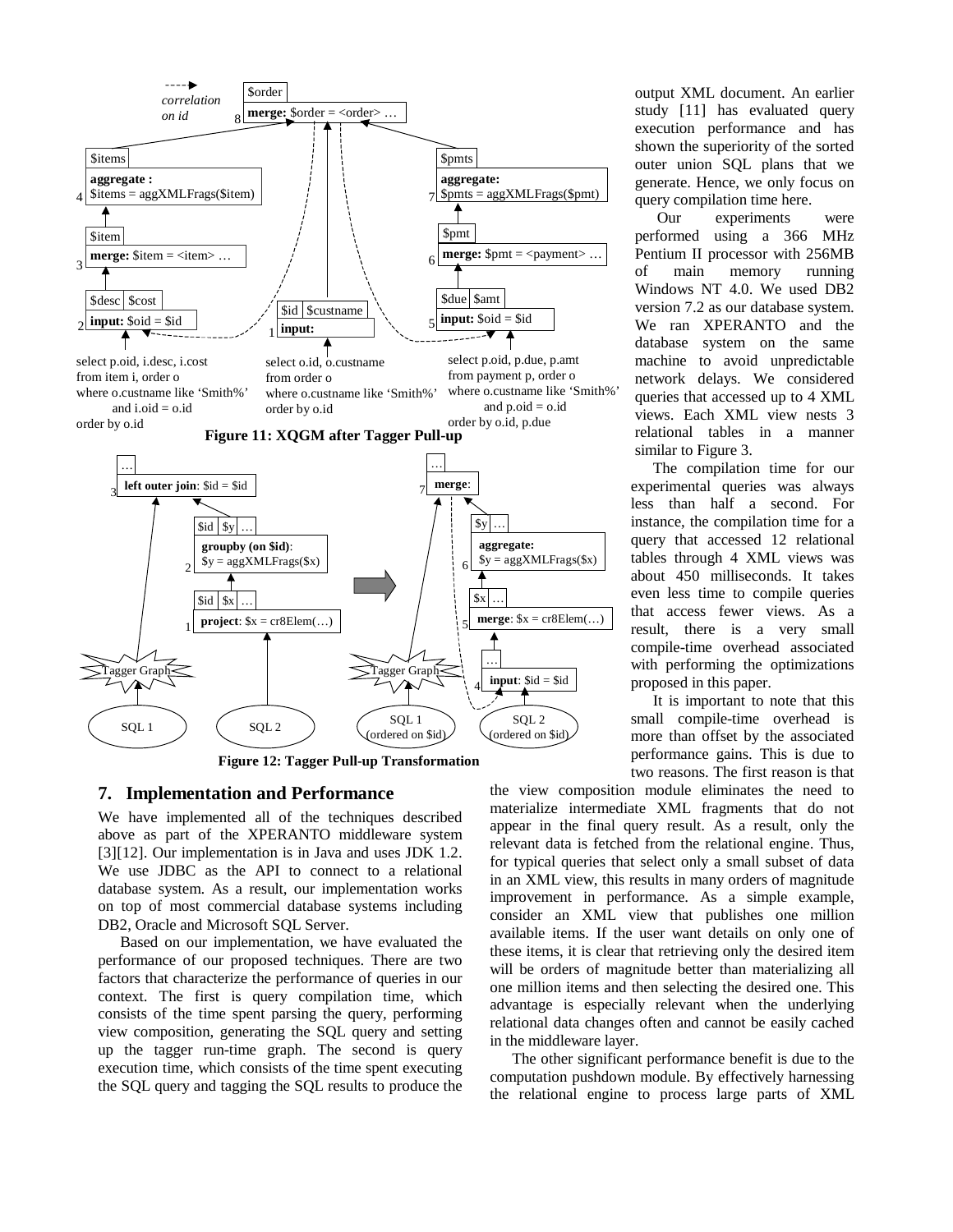

**Figure 12: Tagger Pull-up Transformation**

#### **7. Implementation and Performance**

We have implemented all of the techniques described above as part of the XPERANTO middleware system [3][12]. Our implementation is in Java and uses JDK 1.2. We use JDBC as the API to connect to a relational database system. As a result, our implementation works on top of most commercial database systems including DB2, Oracle and Microsoft SQL Server.

Based on our implementation, we have evaluated the performance of our proposed techniques. There are two factors that characterize the performance of queries in our context. The first is query compilation time, which consists of the time spent parsing the query, performing view composition, generating the SQL query and setting up the tagger run-time graph. The second is query execution time, which consists of the time spent executing the SQL query and tagging the SQL results to produce the

output XML document. An earlier study [11] has evaluated query execution performance and has shown the superiority of the sorted outer union SQL plans that we generate. Hence, we only focus on query compilation time here.

Our experiments were performed using a 366 MHz Pentium II processor with 256MB of main memory running Windows NT 4.0. We used DB2 version 7.2 as our database system. We ran XPERANTO and the database system on the same machine to avoid unpredictable network delays. We considered queries that accessed up to 4 XML views. Each XML view nests 3 relational tables in a manner similar to Figure 3.

The compilation time for our experimental queries was always less than half a second. For instance, the compilation time for a query that accessed 12 relational tables through 4 XML views was about 450 milliseconds. It takes even less time to compile queries that access fewer views. As a result, there is a very small compile-time overhead associated with performing the optimizations proposed in this paper.

It is important to note that this small compile-time overhead is more than offset by the associated performance gains. This is due to two reasons. The first reason is that

the view composition module eliminates the need to materialize intermediate XML fragments that do not appear in the final query result. As a result, only the relevant data is fetched from the relational engine. Thus, for typical queries that select only a small subset of data in an XML view, this results in many orders of magnitude improvement in performance. As a simple example, consider an XML view that publishes one million available items. If the user want details on only one of these items, it is clear that retrieving only the desired item will be orders of magnitude better than materializing all one million items and then selecting the desired one. This advantage is especially relevant when the underlying relational data changes often and cannot be easily cached in the middleware layer.

The other significant performance benefit is due to the computation pushdown module. By effectively harnessing the relational engine to process large parts of XML